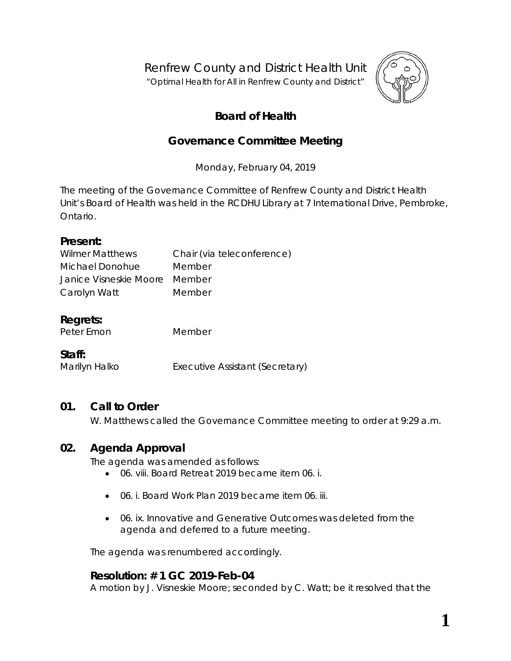Renfrew County and District Health Unit

"*Optimal Health for All in Renfrew County and District"*



# **Board of Health**

# **Governance Committee Meeting**

Monday, February 04, 2019

The meeting of the Governance Committee of Renfrew County and District Health Unit's Board of Health was held in the RCDHU Library at 7 International Drive, Pembroke, Ontario.

#### **Present:**

| <b>Wilmer Matthews</b>        | Chair (via teleconference) |
|-------------------------------|----------------------------|
| Michael Donohue               | Member                     |
| Janice Visneskie Moore Member |                            |
| Carolyn Watt                  | Member                     |

# **Regrets:**

Peter Emon Member

# **Staff:**

Marilyn Halko Executive Assistant (Secretary)

# **01. Call to Order**

W. Matthews called the Governance Committee meeting to order at 9:29 a.m.

# **02. Agenda Approval**

The agenda was amended as follows:

- 06. viii. *Board Retreat 2019* became item 06. i.
- 06. i. *Board Work Plan 2019* became item 06. iii.
- 06. ix. *Innovative and Generative Outcomes* was deleted from the agenda and deferred to a future meeting.

The agenda was renumbered accordingly.

# **Resolution: # 1 GC 2019-Feb-04**

A motion by J. Visneskie Moore; seconded by C. Watt; be it resolved that the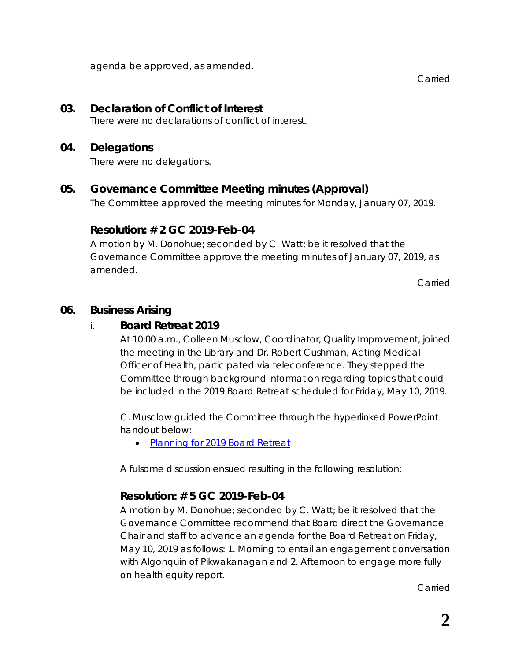agenda be approved, as amended.

Carried

#### **03. Declaration of Conflict of Interest**

There were no declarations of conflict of interest.

#### **04. Delegations**

There were no delegations.

# **05. Governance Committee Meeting minutes (Approval)**

The Committee approved the meeting minutes for Monday, January 07, 2019.

#### **Resolution: # 2 GC 2019-Feb-04**

A motion by M. Donohue; seconded by C. Watt; be it resolved that the Governance Committee approve the meeting minutes of January 07, 2019, as amended.

Carried

#### **06. Business Arising**

# i. **Board Retreat 2019**

At 10:00 a.m., Colleen Musclow, Coordinator, Quality Improvement, joined the meeting in the Library and Dr. Robert Cushman, Acting Medical Officer of Health, participated via teleconference. They stepped the Committee through background information regarding topics that could be included in the 2019 Board Retreat scheduled for Friday, May 10, 2019.

C. Musclow guided the Committee through the hyperlinked PowerPoint handout below:

• *[Planning for 2019 Board Retreat](https://www.rcdhu.com/wp-content/uploads/2019/03/Board-Retreat-Planning.pdf)*

A fulsome discussion ensued resulting in the following resolution:

# **Resolution: # 5 GC 2019-Feb-04**

A motion by M. Donohue; seconded by C. Watt; be it resolved that the Governance Committee recommend that Board direct the Governance Chair and staff to advance an agenda for the Board Retreat on Friday, May 10, 2019 as follows: 1. Morning to entail an engagement conversation with Algonquin of Pikwakanagan and 2. Afternoon to engage more fully on health equity report.

Carried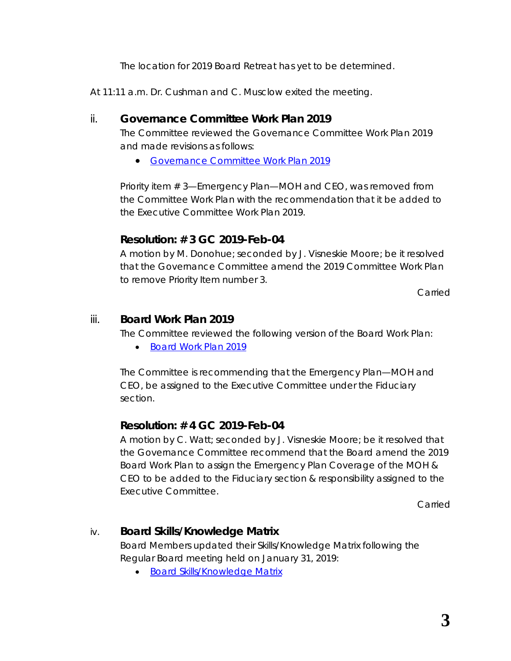The location for 2019 Board Retreat has yet to be determined.

At 11:11 a.m. Dr. Cushman and C. Musclow exited the meeting.

#### ii. **Governance Committee Work Plan 2019**

The Committee reviewed the Governance Committee Work Plan 2019 and made revisions as follows:

• *[Governance Committee Work Plan 2019](https://www.rcdhu.com/wp-content/uploads/2019/03/Governance-Committee-Work-Plan-2019-2019-Feb-04-Draft.pdf)*

Priority item # 3—Emergency Plan—MOH and CEO, was removed from the Committee Work Plan with the recommendation that it be added to the Executive Committee Work Plan 2019.

# **Resolution: # 3 GC 2019-Feb-04**

A motion by M. Donohue; seconded by J. Visneskie Moore; be it resolved that the Governance Committee amend the 2019 Committee Work Plan to remove Priority Item number 3.

Carried

#### iii. **Board Work Plan 2019**

The Committee reviewed the following version of the Board Work Plan:

• *[Board Work Plan 2019](https://www.rcdhu.com/wp-content/uploads/2019/03/06.-ii.-Board-Work-Plan-2019-2019-Feb-04-Draft.pdf)*

The Committee is recommending that the Emergency Plan—MOH and CEO, be assigned to the Executive Committee under the Fiduciary section.

# **Resolution: # 4 GC 2019-Feb-04**

A motion by C. Watt; seconded by J. Visneskie Moore; be it resolved that the Governance Committee recommend that the Board amend the 2019 Board Work Plan to assign the Emergency Plan Coverage of the MOH & CEO to be added to the Fiduciary section & responsibility assigned to the Executive Committee.

Carried

# iv. **Board Skills/Knowledge Matrix**

Board Members updated their Skills/Knowledge Matrix following the Regular Board meeting held on January 31, 2019:

• *[Board Skills/Knowledge Matrix](https://www.rcdhu.com/wp-content/uploads/2019/03/Skills-Knowledge-Matrix-2019-Feb-04.pdf)*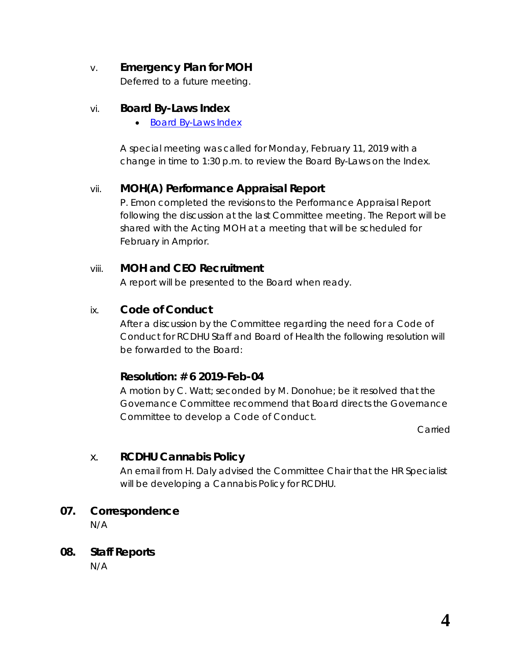# v. **Emergency Plan for MOH**

Deferred to a future meeting.

#### vi. **Board By-Laws Index**

• *[Board By-Laws Index](https://www.rcdhu.com/wp-content/uploads/2019/02/06.-v.-Board-By-Laws-Index.pdf)*

A special meeting was called for Monday, February 11, 2019 with a change in time to 1:30 p.m. to review the Board By-Laws on the Index.

# vii. **MOH(A) Performance Appraisal Report**

P. Emon completed the revisions to the Performance Appraisal Report following the discussion at the last Committee meeting. The Report will be shared with the Acting MOH at a meeting that will be scheduled for February in Arnprior.

#### viii. **MOH and CEO Recruitment**

A report will be presented to the Board when ready.

# ix. **Code of Conduct**

After a discussion by the Committee regarding the need for a Code of Conduct for RCDHU Staff and Board of Health the following resolution will be forwarded to the Board:

# **Resolution: # 6 2019-Feb-04**

A motion by C. Watt; seconded by M. Donohue; be it resolved that the Governance Committee recommend that Board directs the Governance Committee to develop a Code of Conduct.

Carried

# x. **RCDHU Cannabis Policy**

An email from H. Daly advised the Committee Chair that the HR Specialist will be developing a Cannabis Policy for RCDHU.

#### **07. Correspondence**

N/A

#### **08. Staff Reports**

N/A